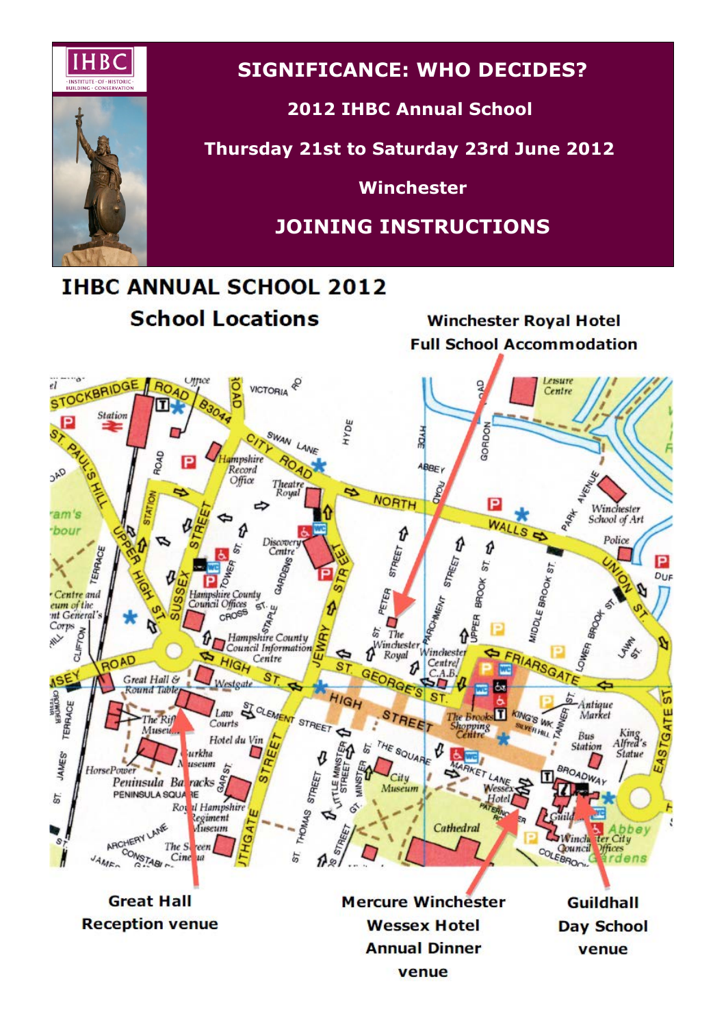

# **SIGNIFICANCE: WHO DECIDES?**

# **2012 IHBC Annual School**

**Thursday 21st to Saturday 23rd June 2012**

**Winchester**

# **JOINING INSTRUCTIONS**

# **THBC ANNUAL SCHOOL 2012**

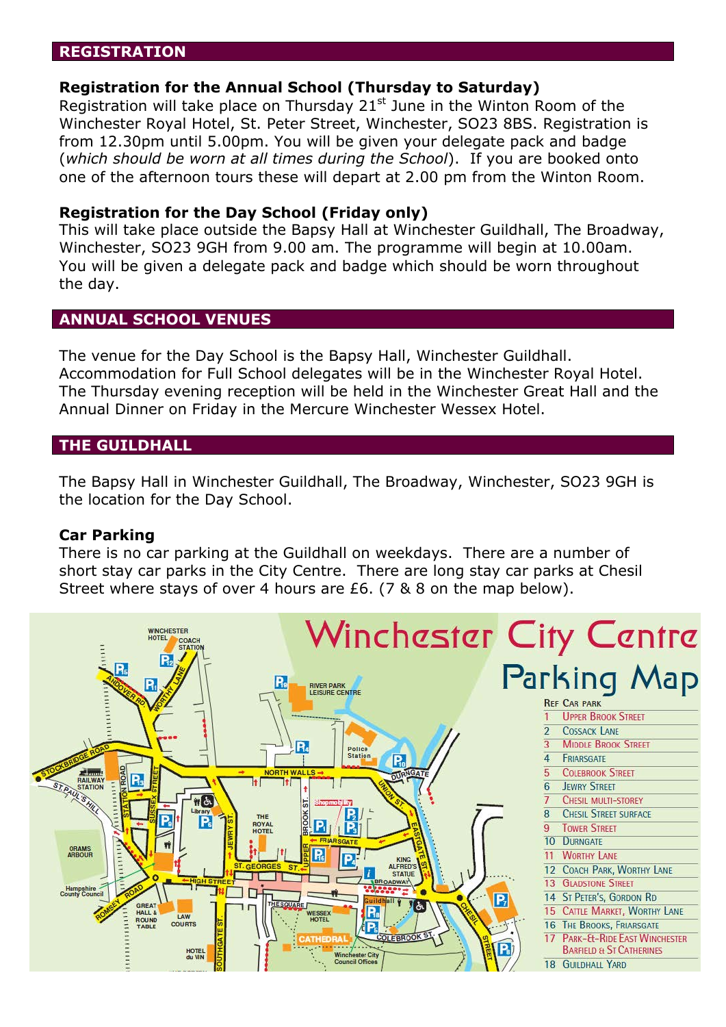# **REGISTRATION**

## **Registration for the Annual School (Thursday to Saturday)**

Registration will take place on Thursday  $21<sup>st</sup>$  June in the Winton Room of the Winchester Royal Hotel, St. Peter Street, Winchester, SO23 8BS. Registration is from 12.30pm until 5.00pm. You will be given your delegate pack and badge (*which should be worn at all times during the School*). If you are booked onto one of the afternoon tours these will depart at 2.00 pm from the Winton Room.

# **Registration for the Day School (Friday only)**

This will take place outside the Bapsy Hall at Winchester Guildhall, The Broadway, Winchester, SO23 9GH from 9.00 am. The programme will begin at 10.00am. You will be given a delegate pack and badge which should be worn throughout the day.

# **ANNUAL SCHOOL VENUES**

The venue for the Day School is the Bapsy Hall, Winchester Guildhall. Accommodation for Full School delegates will be in the Winchester Royal Hotel. The Thursday evening reception will be held in the Winchester Great Hall and the Annual Dinner on Friday in the Mercure Winchester Wessex Hotel.

# **THE GUILDHALL**

The Bapsy Hall in Winchester Guildhall, The Broadway, Winchester, SO23 9GH is the location for the Day School.

#### **Car Parking**

There is no car parking at the Guildhall on weekdays. There are a number of short stay car parks in the City Centre. There are long stay car parks at Chesil Street where stays of over 4 hours are £6. (7 & 8 on the map below).

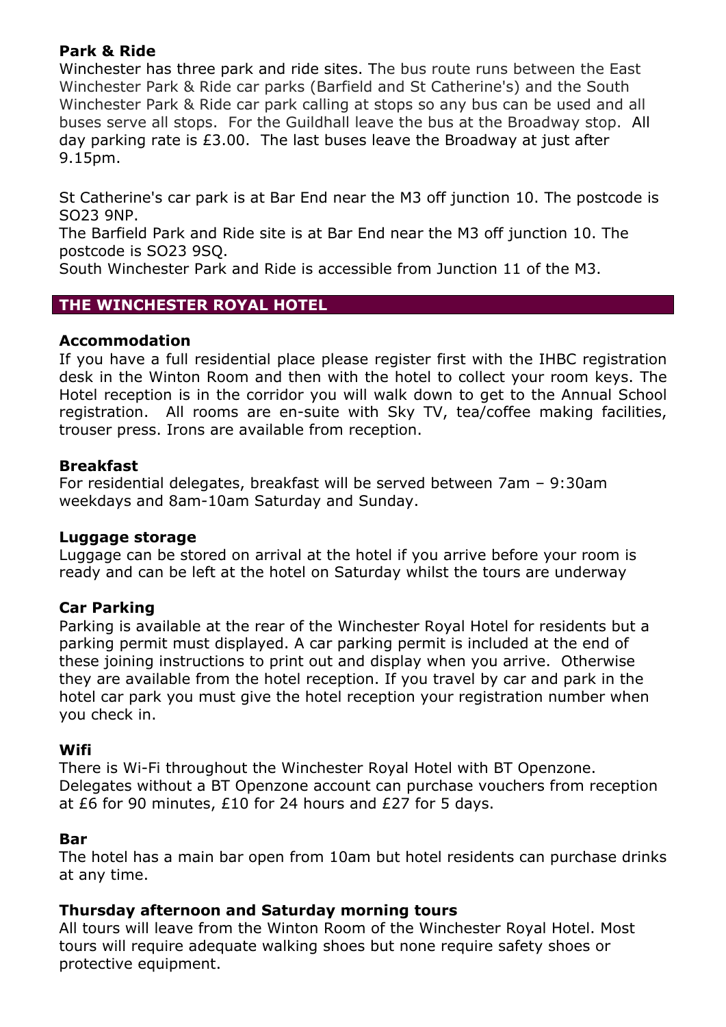# **Park & Ride**

Winchester has three park and ride sites. The bus route runs between the East Winchester Park & Ride car parks (Barfield and St Catherine's) and the South Winchester Park & Ride car park calling at stops so any bus can be used and all buses serve all stops. For the Guildhall leave the bus at the Broadway stop. All day parking rate is £3.00. The last buses leave the Broadway at just after 9.15pm.

St Catherine's car park is at Bar End near the M3 off junction 10. The postcode is SO23 9NP.

The Barfield Park and Ride site is at Bar End near the M3 off junction 10. The postcode is SO23 9SQ.

South Winchester Park and Ride is accessible from Junction 11 of the M3.

# **THE WINCHESTER ROYAL HOTEL**

# **Accommodation**

If you have a full residential place please register first with the IHBC registration desk in the Winton Room and then with the hotel to collect your room keys. The Hotel reception is in the corridor you will walk down to get to the Annual School registration. All rooms are en-suite with Sky TV, tea/coffee making facilities, trouser press. Irons are available from reception.

# **Breakfast**

For residential delegates, breakfast will be served between 7am – 9:30am weekdays and 8am-10am Saturday and Sunday.

# **Luggage storage**

Luggage can be stored on arrival at the hotel if you arrive before your room is ready and can be left at the hotel on Saturday whilst the tours are underway

# **Car Parking**

Parking is available at the rear of the Winchester Royal Hotel for residents but a parking permit must displayed. A car parking permit is included at the end of these joining instructions to print out and display when you arrive. Otherwise they are available from the hotel reception. If you travel by car and park in the hotel car park you must give the hotel reception your registration number when you check in.

# **Wifi**

There is Wi-Fi throughout the Winchester Royal Hotel with BT Openzone. Delegates without a BT Openzone account can purchase vouchers from reception at £6 for 90 minutes, £10 for 24 hours and £27 for 5 days.

# **Bar**

The hotel has a main bar open from 10am but hotel residents can purchase drinks at any time.

# **Thursday afternoon and Saturday morning tours**

All tours will leave from the Winton Room of the Winchester Royal Hotel. Most tours will require adequate walking shoes but none require safety shoes or protective equipment.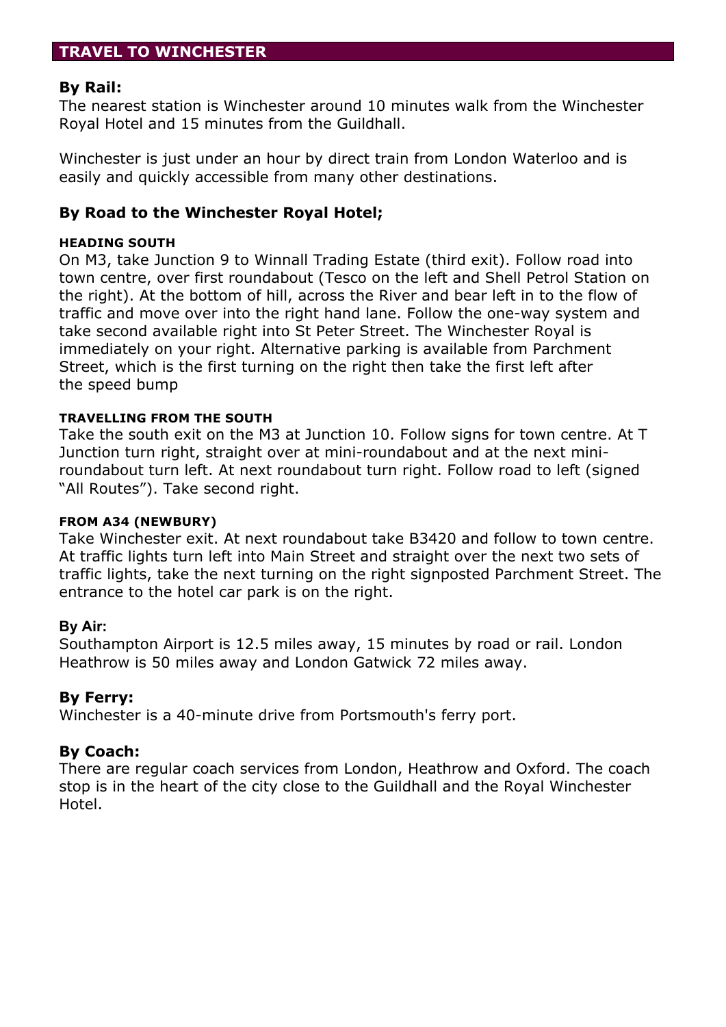# **TRAVEL TO WINCHESTER**

# **By Rail:**

The nearest station is Winchester around 10 minutes walk from the Winchester Royal Hotel and 15 minutes from the Guildhall.

Winchester is just under an hour by direct train from London Waterloo and is easily and quickly accessible from many other destinations.

# **By Road to the Winchester Royal Hotel;**

## **HEADING SOUTH**

On M3, take Junction 9 to Winnall Trading Estate (third exit). Follow road into town centre, over first roundabout (Tesco on the left and Shell Petrol Station on the right). At the bottom of hill, across the River and bear left in to the flow of traffic and move over into the right hand lane. Follow the one-way system and take second available right into St Peter Street. The Winchester Royal is immediately on your right. Alternative parking is available from Parchment Street, which is the first turning on the right then take the first left after the speed bump

#### **TRAVELLING FROM THE SOUTH**

Take the south exit on the M3 at Junction 10. Follow signs for town centre. At T Junction turn right, straight over at mini-roundabout and at the next miniroundabout turn left. At next roundabout turn right. Follow road to left (signed "All Routes"). Take second right.

#### **FROM A34 (NEWBURY)**

Take Winchester exit. At next roundabout take B3420 and follow to town centre. At traffic lights turn left into Main Street and straight over the next two sets of traffic lights, take the next turning on the right signposted Parchment Street. The entrance to the hotel car park is on the right.

#### **By Air:**

Southampton Airport is 12.5 miles away, 15 minutes by road or rail. London Heathrow is 50 miles away and London Gatwick 72 miles away.

# **By Ferry:**

Winchester is a 40-minute drive from Portsmouth's ferry port.

# **By Coach:**

There are regular coach services from London, Heathrow and Oxford. The coach stop is in the heart of the city close to the Guildhall and the Royal Winchester Hotel.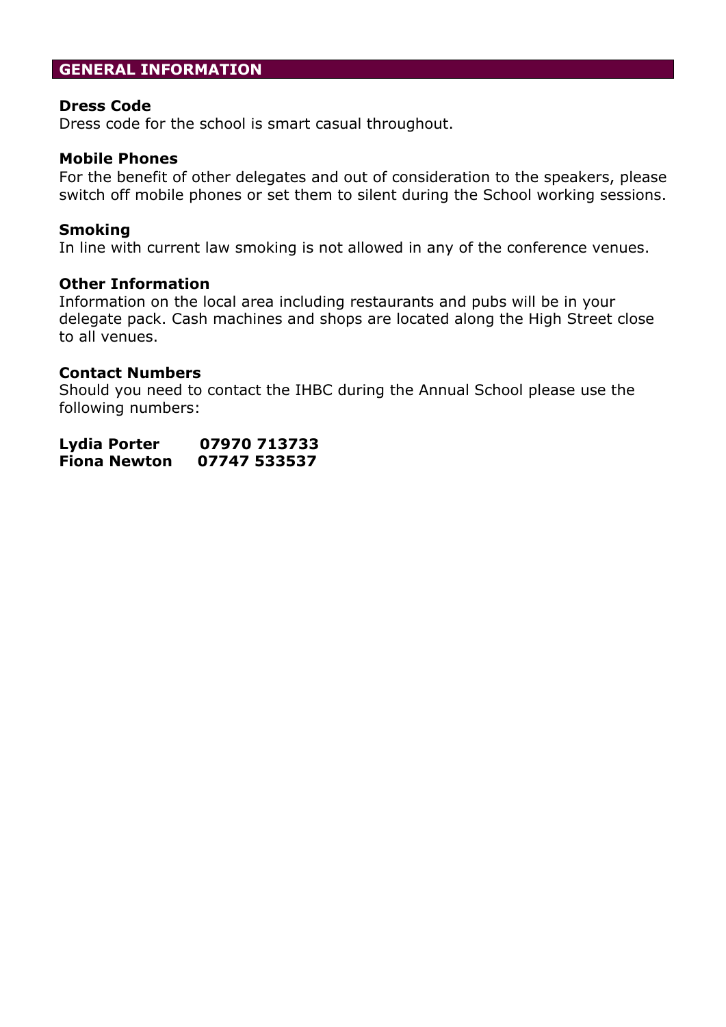# **GENERAL INFORMATION**

# **Dress Code**

Dress code for the school is smart casual throughout.

# **Mobile Phones**

For the benefit of other delegates and out of consideration to the speakers, please switch off mobile phones or set them to silent during the School working sessions.

# **Smoking**

In line with current law smoking is not allowed in any of the conference venues.

#### **Other Information**

Information on the local area including restaurants and pubs will be in your delegate pack. Cash machines and shops are located along the High Street close to all venues.

# **Contact Numbers**

Should you need to contact the IHBC during the Annual School please use the following numbers:

| Lydia Porter        | 07970 713733 |
|---------------------|--------------|
| <b>Fiona Newton</b> | 07747 533537 |